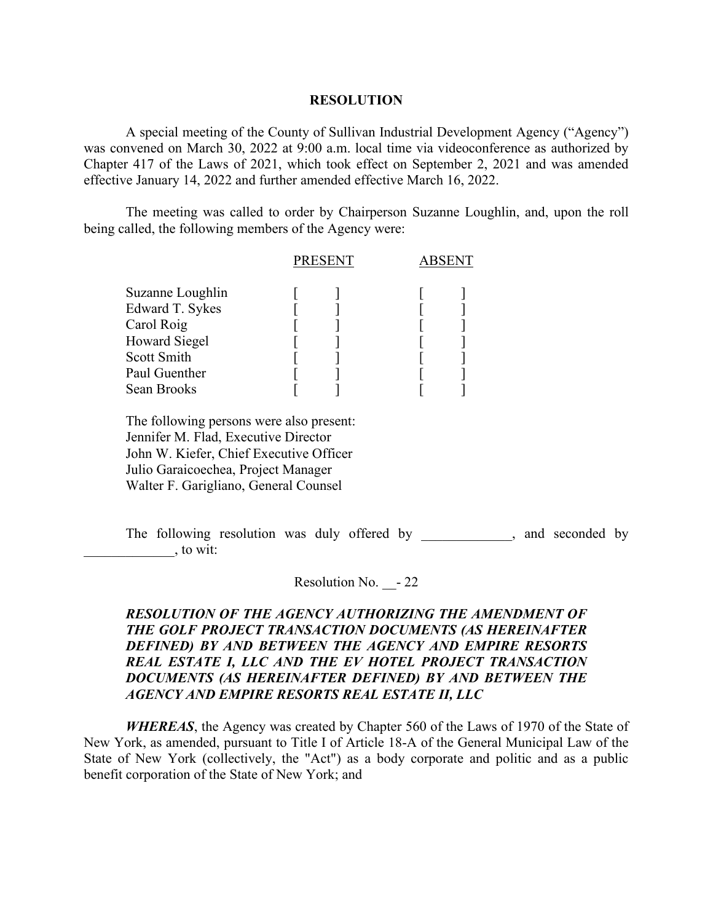## **RESOLUTION**

A special meeting of the County of Sullivan Industrial Development Agency ("Agency") was convened on March 30, 2022 at 9:00 a.m. local time via videoconference as authorized by Chapter 417 of the Laws of 2021, which took effect on September 2, 2021 and was amended effective January 14, 2022 and further amended effective March 16, 2022.

The meeting was called to order by Chairperson Suzanne Loughlin, and, upon the roll being called, the following members of the Agency were:

|                      | <b>PRESENT</b> | RSENT |  |
|----------------------|----------------|-------|--|
| Suzanne Loughlin     |                |       |  |
| Edward T. Sykes      |                |       |  |
| Carol Roig           |                |       |  |
| <b>Howard Siegel</b> |                |       |  |
| Scott Smith          |                |       |  |
| Paul Guenther        |                |       |  |
| Sean Brooks          |                |       |  |
|                      |                |       |  |

 The following persons were also present: Jennifer M. Flad, Executive Director John W. Kiefer, Chief Executive Officer Julio Garaicoechea, Project Manager Walter F. Garigliano, General Counsel

The following resolution was duly offered by example and seconded by  $\frac{1}{2}$ , to wit:

Resolution No. - 22

## *RESOLUTION OF THE AGENCY AUTHORIZING THE AMENDMENT OF THE GOLF PROJECT TRANSACTION DOCUMENTS (AS HEREINAFTER DEFINED) BY AND BETWEEN THE AGENCY AND EMPIRE RESORTS REAL ESTATE I, LLC AND THE EV HOTEL PROJECT TRANSACTION DOCUMENTS (AS HEREINAFTER DEFINED) BY AND BETWEEN THE AGENCY AND EMPIRE RESORTS REAL ESTATE II, LLC*

*WHEREAS*, the Agency was created by Chapter 560 of the Laws of 1970 of the State of New York, as amended, pursuant to Title I of Article 18-A of the General Municipal Law of the State of New York (collectively, the "Act") as a body corporate and politic and as a public benefit corporation of the State of New York; and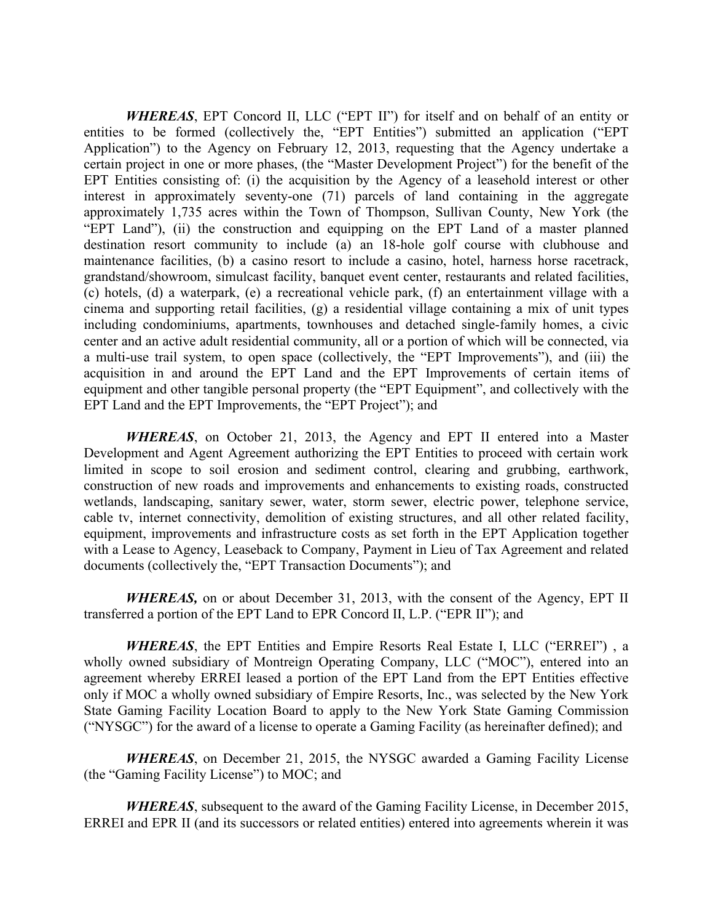*WHEREAS*, EPT Concord II, LLC ("EPT II") for itself and on behalf of an entity or entities to be formed (collectively the, "EPT Entities") submitted an application ("EPT Application") to the Agency on February 12, 2013, requesting that the Agency undertake a certain project in one or more phases, (the "Master Development Project") for the benefit of the EPT Entities consisting of: (i) the acquisition by the Agency of a leasehold interest or other interest in approximately seventy-one (71) parcels of land containing in the aggregate approximately 1,735 acres within the Town of Thompson, Sullivan County, New York (the "EPT Land"), (ii) the construction and equipping on the EPT Land of a master planned destination resort community to include (a) an 18-hole golf course with clubhouse and maintenance facilities, (b) a casino resort to include a casino, hotel, harness horse racetrack, grandstand/showroom, simulcast facility, banquet event center, restaurants and related facilities, (c) hotels, (d) a waterpark, (e) a recreational vehicle park, (f) an entertainment village with a cinema and supporting retail facilities, (g) a residential village containing a mix of unit types including condominiums, apartments, townhouses and detached single-family homes, a civic center and an active adult residential community, all or a portion of which will be connected, via a multi-use trail system, to open space (collectively, the "EPT Improvements"), and (iii) the acquisition in and around the EPT Land and the EPT Improvements of certain items of equipment and other tangible personal property (the "EPT Equipment", and collectively with the EPT Land and the EPT Improvements, the "EPT Project"); and

*WHEREAS*, on October 21, 2013, the Agency and EPT II entered into a Master Development and Agent Agreement authorizing the EPT Entities to proceed with certain work limited in scope to soil erosion and sediment control, clearing and grubbing, earthwork, construction of new roads and improvements and enhancements to existing roads, constructed wetlands, landscaping, sanitary sewer, water, storm sewer, electric power, telephone service, cable tv, internet connectivity, demolition of existing structures, and all other related facility, equipment, improvements and infrastructure costs as set forth in the EPT Application together with a Lease to Agency, Leaseback to Company, Payment in Lieu of Tax Agreement and related documents (collectively the, "EPT Transaction Documents"); and

*WHEREAS,* on or about December 31, 2013, with the consent of the Agency, EPT II transferred a portion of the EPT Land to EPR Concord II, L.P. ("EPR II"); and

*WHEREAS*, the EPT Entities and Empire Resorts Real Estate I, LLC ("ERREI") , a wholly owned subsidiary of Montreign Operating Company, LLC ("MOC"), entered into an agreement whereby ERREI leased a portion of the EPT Land from the EPT Entities effective only if MOC a wholly owned subsidiary of Empire Resorts, Inc., was selected by the New York State Gaming Facility Location Board to apply to the New York State Gaming Commission ("NYSGC") for the award of a license to operate a Gaming Facility (as hereinafter defined); and

*WHEREAS*, on December 21, 2015, the NYSGC awarded a Gaming Facility License (the "Gaming Facility License") to MOC; and

*WHEREAS*, subsequent to the award of the Gaming Facility License, in December 2015, ERREI and EPR II (and its successors or related entities) entered into agreements wherein it was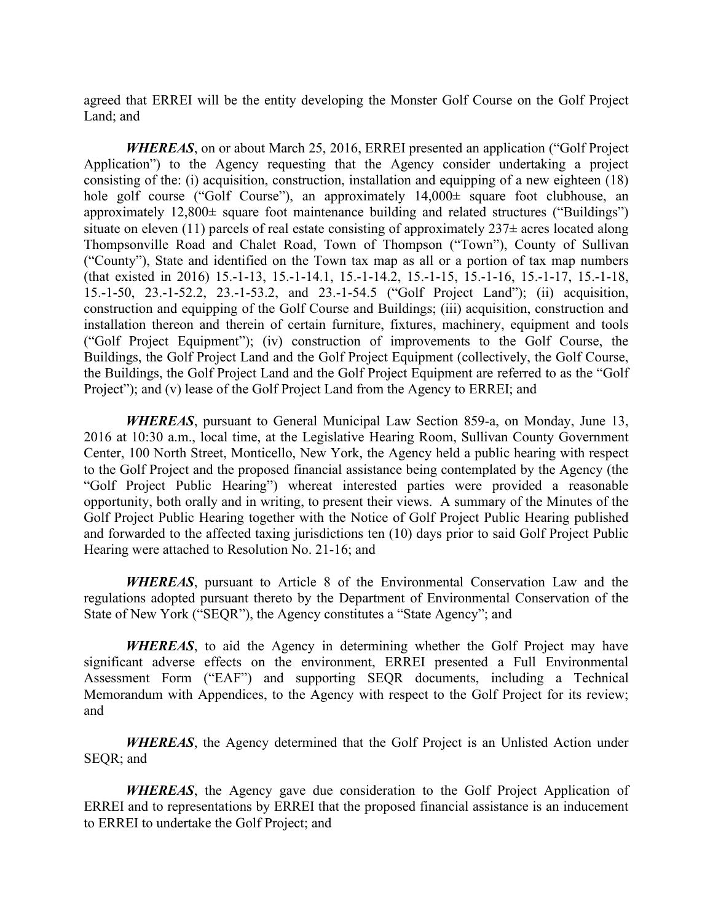agreed that ERREI will be the entity developing the Monster Golf Course on the Golf Project Land; and

*WHEREAS*, on or about March 25, 2016, ERREI presented an application ("Golf Project Application") to the Agency requesting that the Agency consider undertaking a project consisting of the: (i) acquisition, construction, installation and equipping of a new eighteen (18) hole golf course ("Golf Course"), an approximately  $14,000\pm$  square foot clubhouse, an approximately  $12,800\pm$  square foot maintenance building and related structures ("Buildings") situate on eleven (11) parcels of real estate consisting of approximately  $237\pm$  acres located along Thompsonville Road and Chalet Road, Town of Thompson ("Town"), County of Sullivan ("County"), State and identified on the Town tax map as all or a portion of tax map numbers (that existed in 2016) 15.-1-13, 15.-1-14.1, 15.-1-14.2, 15.-1-15, 15.-1-16, 15.-1-17, 15.-1-18, 15.-1-50, 23.-1-52.2, 23.-1-53.2, and 23.-1-54.5 ("Golf Project Land"); (ii) acquisition, construction and equipping of the Golf Course and Buildings; (iii) acquisition, construction and installation thereon and therein of certain furniture, fixtures, machinery, equipment and tools ("Golf Project Equipment"); (iv) construction of improvements to the Golf Course, the Buildings, the Golf Project Land and the Golf Project Equipment (collectively, the Golf Course, the Buildings, the Golf Project Land and the Golf Project Equipment are referred to as the "Golf Project"); and (v) lease of the Golf Project Land from the Agency to ERREI; and

*WHEREAS*, pursuant to General Municipal Law Section 859-a, on Monday, June 13, 2016 at 10:30 a.m., local time, at the Legislative Hearing Room, Sullivan County Government Center, 100 North Street, Monticello, New York, the Agency held a public hearing with respect to the Golf Project and the proposed financial assistance being contemplated by the Agency (the "Golf Project Public Hearing") whereat interested parties were provided a reasonable opportunity, both orally and in writing, to present their views. A summary of the Minutes of the Golf Project Public Hearing together with the Notice of Golf Project Public Hearing published and forwarded to the affected taxing jurisdictions ten (10) days prior to said Golf Project Public Hearing were attached to Resolution No. 21-16; and

*WHEREAS*, pursuant to Article 8 of the Environmental Conservation Law and the regulations adopted pursuant thereto by the Department of Environmental Conservation of the State of New York ("SEQR"), the Agency constitutes a "State Agency"; and

*WHEREAS*, to aid the Agency in determining whether the Golf Project may have significant adverse effects on the environment, ERREI presented a Full Environmental Assessment Form ("EAF") and supporting SEQR documents, including a Technical Memorandum with Appendices, to the Agency with respect to the Golf Project for its review; and

*WHEREAS*, the Agency determined that the Golf Project is an Unlisted Action under SEQR; and

*WHEREAS*, the Agency gave due consideration to the Golf Project Application of ERREI and to representations by ERREI that the proposed financial assistance is an inducement to ERREI to undertake the Golf Project; and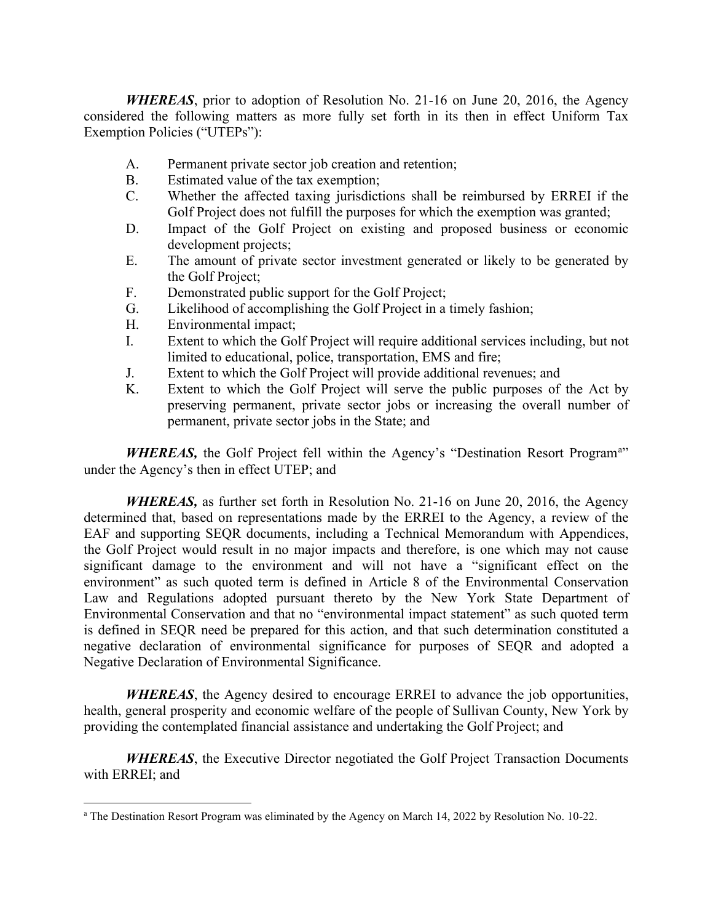*WHEREAS*, prior to adoption of Resolution No. 21-16 on June 20, 2016, the Agency considered the following matters as more fully set forth in its then in effect Uniform Tax Exemption Policies ("UTEPs"):

- A. Permanent private sector job creation and retention;
- B. Estimated value of the tax exemption;
- C. Whether the affected taxing jurisdictions shall be reimbursed by ERREI if the Golf Project does not fulfill the purposes for which the exemption was granted;
- D. Impact of the Golf Project on existing and proposed business or economic development projects;
- E. The amount of private sector investment generated or likely to be generated by the Golf Project;
- F. Demonstrated public support for the Golf Project;
- G. Likelihood of accomplishing the Golf Project in a timely fashion;
- H. Environmental impact;
- I. Extent to which the Golf Project will require additional services including, but not limited to educational, police, transportation, EMS and fire;
- J. Extent to which the Golf Project will provide additional revenues; and
- K. Extent to which the Golf Project will serve the public purposes of the Act by preserving permanent, private sector jobs or increasing the overall number of permanent, private sector jobs in the State; and

WHEREAS, the Golf Project fell within the Agency's "Destin[a](#page-3-0)tion Resort Program<sup>a</sup>" under the Agency's then in effect UTEP; and

*WHEREAS*, as further set forth in Resolution No. 21-16 on June 20, 2016, the Agency determined that, based on representations made by the ERREI to the Agency, a review of the EAF and supporting SEQR documents, including a Technical Memorandum with Appendices, the Golf Project would result in no major impacts and therefore, is one which may not cause significant damage to the environment and will not have a "significant effect on the environment" as such quoted term is defined in Article 8 of the Environmental Conservation Law and Regulations adopted pursuant thereto by the New York State Department of Environmental Conservation and that no "environmental impact statement" as such quoted term is defined in SEQR need be prepared for this action, and that such determination constituted a negative declaration of environmental significance for purposes of SEQR and adopted a Negative Declaration of Environmental Significance.

*WHEREAS*, the Agency desired to encourage ERREI to advance the job opportunities, health, general prosperity and economic welfare of the people of Sullivan County, New York by providing the contemplated financial assistance and undertaking the Golf Project; and

*WHEREAS*, the Executive Director negotiated the Golf Project Transaction Documents with ERREI; and

<span id="page-3-0"></span><sup>a</sup> The Destination Resort Program was eliminated by the Agency on March 14, 2022 by Resolution No. 10-22.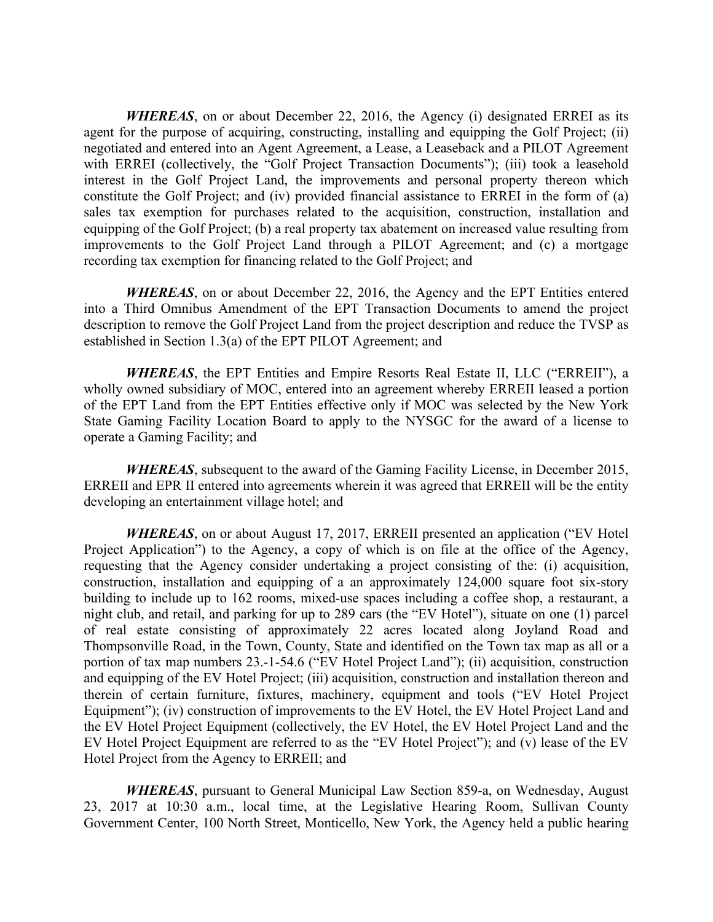*WHEREAS*, on or about December 22, 2016, the Agency (i) designated ERREI as its agent for the purpose of acquiring, constructing, installing and equipping the Golf Project; (ii) negotiated and entered into an Agent Agreement, a Lease, a Leaseback and a PILOT Agreement with ERREI (collectively, the "Golf Project Transaction Documents"); (iii) took a leasehold interest in the Golf Project Land, the improvements and personal property thereon which constitute the Golf Project; and (iv) provided financial assistance to ERREI in the form of (a) sales tax exemption for purchases related to the acquisition, construction, installation and equipping of the Golf Project; (b) a real property tax abatement on increased value resulting from improvements to the Golf Project Land through a PILOT Agreement; and (c) a mortgage recording tax exemption for financing related to the Golf Project; and

*WHEREAS*, on or about December 22, 2016, the Agency and the EPT Entities entered into a Third Omnibus Amendment of the EPT Transaction Documents to amend the project description to remove the Golf Project Land from the project description and reduce the TVSP as established in Section 1.3(a) of the EPT PILOT Agreement; and

*WHEREAS*, the EPT Entities and Empire Resorts Real Estate II, LLC ("ERREII"), a wholly owned subsidiary of MOC, entered into an agreement whereby ERREII leased a portion of the EPT Land from the EPT Entities effective only if MOC was selected by the New York State Gaming Facility Location Board to apply to the NYSGC for the award of a license to operate a Gaming Facility; and

*WHEREAS*, subsequent to the award of the Gaming Facility License, in December 2015, ERREII and EPR II entered into agreements wherein it was agreed that ERREII will be the entity developing an entertainment village hotel; and

*WHEREAS*, on or about August 17, 2017, ERREII presented an application ("EV Hotel Project Application") to the Agency, a copy of which is on file at the office of the Agency, requesting that the Agency consider undertaking a project consisting of the: (i) acquisition, construction, installation and equipping of a an approximately 124,000 square foot six-story building to include up to 162 rooms, mixed-use spaces including a coffee shop, a restaurant, a night club, and retail, and parking for up to 289 cars (the "EV Hotel"), situate on one (1) parcel of real estate consisting of approximately 22 acres located along Joyland Road and Thompsonville Road, in the Town, County, State and identified on the Town tax map as all or a portion of tax map numbers 23.-1-54.6 ("EV Hotel Project Land"); (ii) acquisition, construction and equipping of the EV Hotel Project; (iii) acquisition, construction and installation thereon and therein of certain furniture, fixtures, machinery, equipment and tools ("EV Hotel Project Equipment"); (iv) construction of improvements to the EV Hotel, the EV Hotel Project Land and the EV Hotel Project Equipment (collectively, the EV Hotel, the EV Hotel Project Land and the EV Hotel Project Equipment are referred to as the "EV Hotel Project"); and (v) lease of the EV Hotel Project from the Agency to ERREII; and

*WHEREAS*, pursuant to General Municipal Law Section 859-a, on Wednesday, August 23, 2017 at 10:30 a.m., local time, at the Legislative Hearing Room, Sullivan County Government Center, 100 North Street, Monticello, New York, the Agency held a public hearing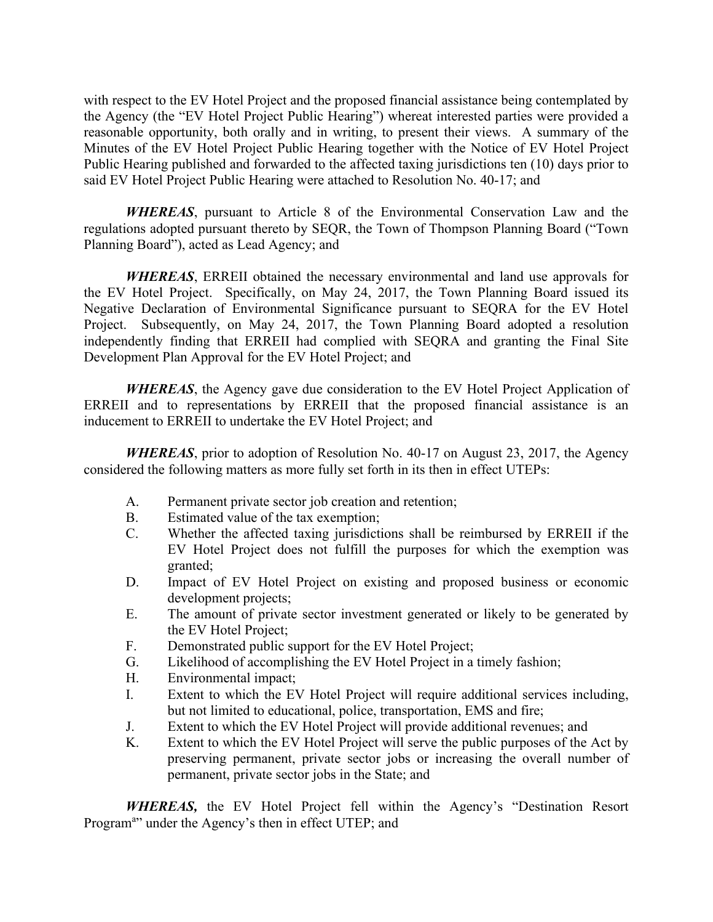with respect to the EV Hotel Project and the proposed financial assistance being contemplated by the Agency (the "EV Hotel Project Public Hearing") whereat interested parties were provided a reasonable opportunity, both orally and in writing, to present their views. A summary of the Minutes of the EV Hotel Project Public Hearing together with the Notice of EV Hotel Project Public Hearing published and forwarded to the affected taxing jurisdictions ten (10) days prior to said EV Hotel Project Public Hearing were attached to Resolution No. 40-17; and

*WHEREAS*, pursuant to Article 8 of the Environmental Conservation Law and the regulations adopted pursuant thereto by SEQR, the Town of Thompson Planning Board ("Town Planning Board"), acted as Lead Agency; and

*WHEREAS*, ERREII obtained the necessary environmental and land use approvals for the EV Hotel Project. Specifically, on May 24, 2017, the Town Planning Board issued its Negative Declaration of Environmental Significance pursuant to SEQRA for the EV Hotel Project. Subsequently, on May 24, 2017, the Town Planning Board adopted a resolution independently finding that ERREII had complied with SEQRA and granting the Final Site Development Plan Approval for the EV Hotel Project; and

*WHEREAS*, the Agency gave due consideration to the EV Hotel Project Application of ERREII and to representations by ERREII that the proposed financial assistance is an inducement to ERREII to undertake the EV Hotel Project; and

*WHEREAS*, prior to adoption of Resolution No. 40-17 on August 23, 2017, the Agency considered the following matters as more fully set forth in its then in effect UTEPs:

- A. Permanent private sector job creation and retention;
- B. Estimated value of the tax exemption;
- C. Whether the affected taxing jurisdictions shall be reimbursed by ERREII if the EV Hotel Project does not fulfill the purposes for which the exemption was granted;
- D. Impact of EV Hotel Project on existing and proposed business or economic development projects;
- E. The amount of private sector investment generated or likely to be generated by the EV Hotel Project;
- F. Demonstrated public support for the EV Hotel Project;
- G. Likelihood of accomplishing the EV Hotel Project in a timely fashion;
- H. Environmental impact;
- I. Extent to which the EV Hotel Project will require additional services including, but not limited to educational, police, transportation, EMS and fire;
- J. Extent to which the EV Hotel Project will provide additional revenues; and
- K. Extent to which the EV Hotel Project will serve the public purposes of the Act by preserving permanent, private sector jobs or increasing the overall number of permanent, private sector jobs in the State; and

*WHEREAS,* the EV Hotel Project fell within the Agency's "Destination Resort Program<sup>a</sup>" under the Agency's then in effect UTEP; and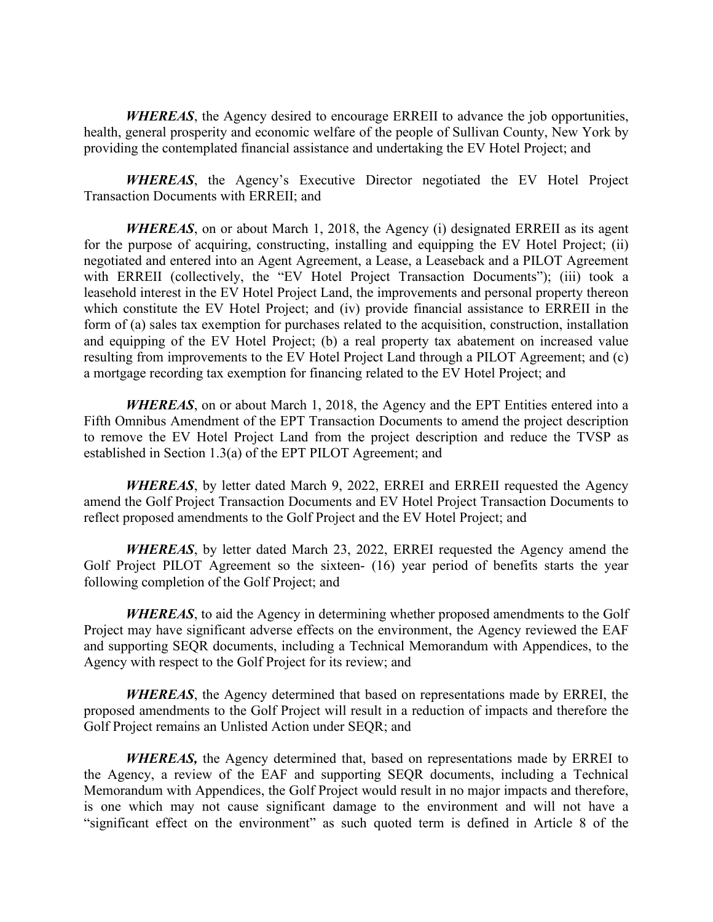*WHEREAS*, the Agency desired to encourage ERREII to advance the job opportunities, health, general prosperity and economic welfare of the people of Sullivan County, New York by providing the contemplated financial assistance and undertaking the EV Hotel Project; and

*WHEREAS*, the Agency's Executive Director negotiated the EV Hotel Project Transaction Documents with ERREII; and

*WHEREAS*, on or about March 1, 2018, the Agency (i) designated ERREII as its agent for the purpose of acquiring, constructing, installing and equipping the EV Hotel Project; (ii) negotiated and entered into an Agent Agreement, a Lease, a Leaseback and a PILOT Agreement with ERREII (collectively, the "EV Hotel Project Transaction Documents"); (iii) took a leasehold interest in the EV Hotel Project Land, the improvements and personal property thereon which constitute the EV Hotel Project; and (iv) provide financial assistance to ERREII in the form of (a) sales tax exemption for purchases related to the acquisition, construction, installation and equipping of the EV Hotel Project; (b) a real property tax abatement on increased value resulting from improvements to the EV Hotel Project Land through a PILOT Agreement; and (c) a mortgage recording tax exemption for financing related to the EV Hotel Project; and

*WHEREAS*, on or about March 1, 2018, the Agency and the EPT Entities entered into a Fifth Omnibus Amendment of the EPT Transaction Documents to amend the project description to remove the EV Hotel Project Land from the project description and reduce the TVSP as established in Section 1.3(a) of the EPT PILOT Agreement; and

*WHEREAS*, by letter dated March 9, 2022, ERREI and ERREII requested the Agency amend the Golf Project Transaction Documents and EV Hotel Project Transaction Documents to reflect proposed amendments to the Golf Project and the EV Hotel Project; and

*WHEREAS*, by letter dated March 23, 2022, ERREI requested the Agency amend the Golf Project PILOT Agreement so the sixteen- (16) year period of benefits starts the year following completion of the Golf Project; and

*WHEREAS*, to aid the Agency in determining whether proposed amendments to the Golf Project may have significant adverse effects on the environment, the Agency reviewed the EAF and supporting SEQR documents, including a Technical Memorandum with Appendices, to the Agency with respect to the Golf Project for its review; and

*WHEREAS*, the Agency determined that based on representations made by ERREI, the proposed amendments to the Golf Project will result in a reduction of impacts and therefore the Golf Project remains an Unlisted Action under SEQR; and

*WHEREAS,* the Agency determined that, based on representations made by ERREI to the Agency, a review of the EAF and supporting SEQR documents, including a Technical Memorandum with Appendices, the Golf Project would result in no major impacts and therefore, is one which may not cause significant damage to the environment and will not have a "significant effect on the environment" as such quoted term is defined in Article 8 of the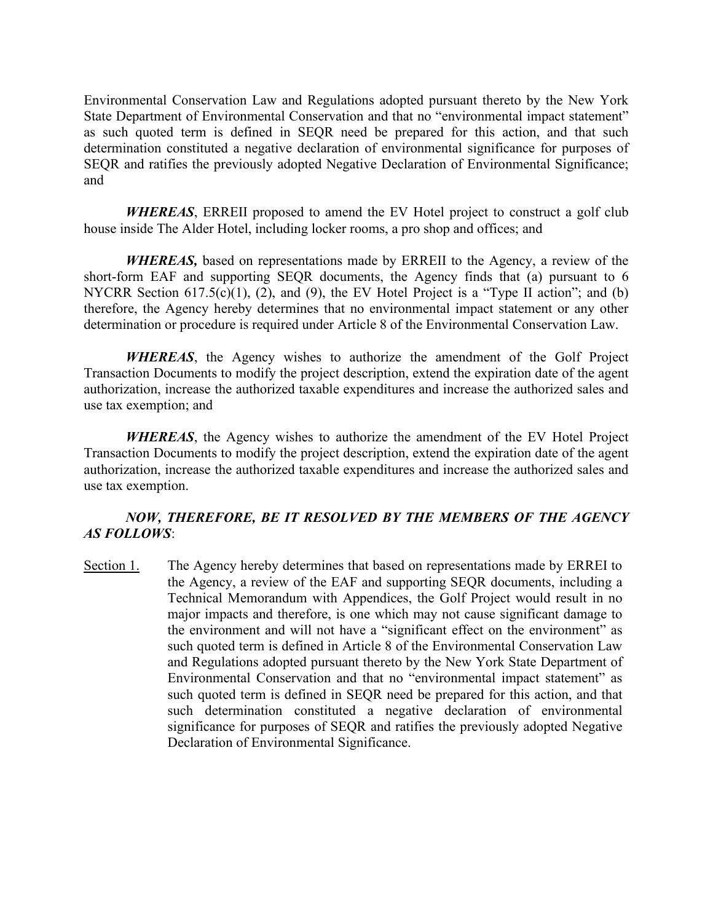Environmental Conservation Law and Regulations adopted pursuant thereto by the New York State Department of Environmental Conservation and that no "environmental impact statement" as such quoted term is defined in SEQR need be prepared for this action, and that such determination constituted a negative declaration of environmental significance for purposes of SEQR and ratifies the previously adopted Negative Declaration of Environmental Significance; and

*WHEREAS*, ERREII proposed to amend the EV Hotel project to construct a golf club house inside The Alder Hotel, including locker rooms, a pro shop and offices; and

*WHEREAS,* based on representations made by ERREII to the Agency, a review of the short-form EAF and supporting SEQR documents, the Agency finds that (a) pursuant to 6 NYCRR Section 617.5(c)(1), (2), and (9), the EV Hotel Project is a "Type II action"; and (b) therefore, the Agency hereby determines that no environmental impact statement or any other determination or procedure is required under Article 8 of the Environmental Conservation Law.

*WHEREAS*, the Agency wishes to authorize the amendment of the Golf Project Transaction Documents to modify the project description, extend the expiration date of the agent authorization, increase the authorized taxable expenditures and increase the authorized sales and use tax exemption; and

*WHEREAS*, the Agency wishes to authorize the amendment of the EV Hotel Project Transaction Documents to modify the project description, extend the expiration date of the agent authorization, increase the authorized taxable expenditures and increase the authorized sales and use tax exemption.

## *NOW, THEREFORE, BE IT RESOLVED BY THE MEMBERS OF THE AGENCY AS FOLLOWS*:

Section 1. The Agency hereby determines that based on representations made by ERREI to the Agency, a review of the EAF and supporting SEQR documents, including a Technical Memorandum with Appendices, the Golf Project would result in no major impacts and therefore, is one which may not cause significant damage to the environment and will not have a "significant effect on the environment" as such quoted term is defined in Article 8 of the Environmental Conservation Law and Regulations adopted pursuant thereto by the New York State Department of Environmental Conservation and that no "environmental impact statement" as such quoted term is defined in SEQR need be prepared for this action, and that such determination constituted a negative declaration of environmental significance for purposes of SEQR and ratifies the previously adopted Negative Declaration of Environmental Significance.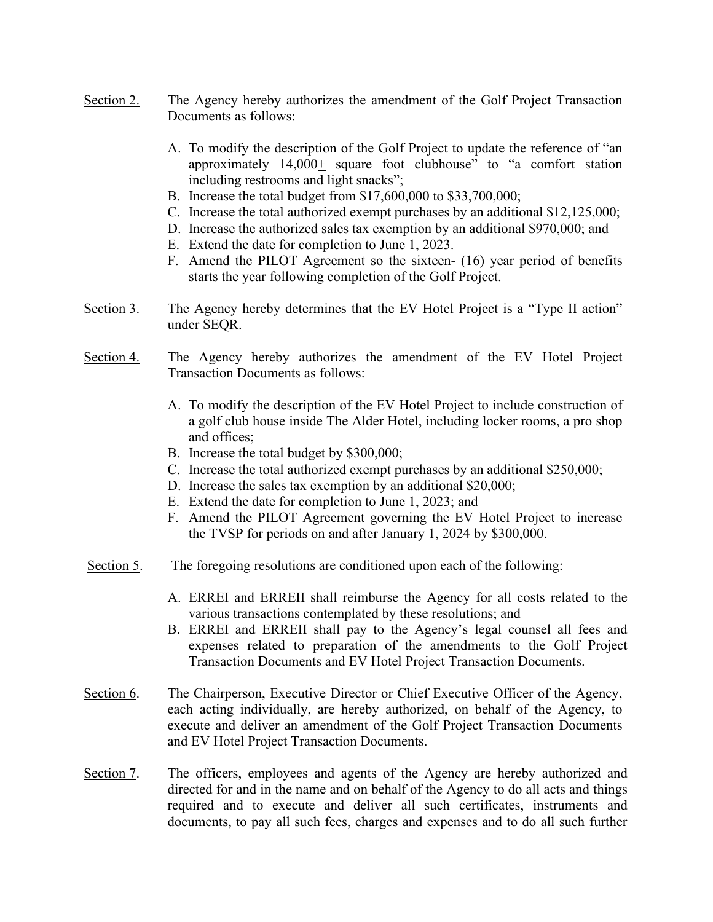- Section 2. The Agency hereby authorizes the amendment of the Golf Project Transaction Documents as follows:
	- A. To modify the description of the Golf Project to update the reference of "an approximately 14,000+ square foot clubhouse" to "a comfort station including restrooms and light snacks";
	- B. Increase the total budget from \$17,600,000 to \$33,700,000;
	- C. Increase the total authorized exempt purchases by an additional \$12,125,000;
	- D. Increase the authorized sales tax exemption by an additional \$970,000; and
	- E. Extend the date for completion to June 1, 2023.
	- F. Amend the PILOT Agreement so the sixteen- (16) year period of benefits starts the year following completion of the Golf Project.
- Section 3. The Agency hereby determines that the EV Hotel Project is a "Type II action" under SEQR.
- Section 4. The Agency hereby authorizes the amendment of the EV Hotel Project Transaction Documents as follows:
	- A. To modify the description of the EV Hotel Project to include construction of a golf club house inside The Alder Hotel, including locker rooms, a pro shop and offices;
	- B. Increase the total budget by \$300,000;
	- C. Increase the total authorized exempt purchases by an additional \$250,000;
	- D. Increase the sales tax exemption by an additional \$20,000;
	- E. Extend the date for completion to June 1, 2023; and
	- F. Amend the PILOT Agreement governing the EV Hotel Project to increase the TVSP for periods on and after January 1, 2024 by \$300,000.
- Section 5. The foregoing resolutions are conditioned upon each of the following:
	- A. ERREI and ERREII shall reimburse the Agency for all costs related to the various transactions contemplated by these resolutions; and
	- B. ERREI and ERREII shall pay to the Agency's legal counsel all fees and expenses related to preparation of the amendments to the Golf Project Transaction Documents and EV Hotel Project Transaction Documents.
- Section 6. The Chairperson, Executive Director or Chief Executive Officer of the Agency, each acting individually, are hereby authorized, on behalf of the Agency, to execute and deliver an amendment of the Golf Project Transaction Documents and EV Hotel Project Transaction Documents.
- Section 7. The officers, employees and agents of the Agency are hereby authorized and directed for and in the name and on behalf of the Agency to do all acts and things required and to execute and deliver all such certificates, instruments and documents, to pay all such fees, charges and expenses and to do all such further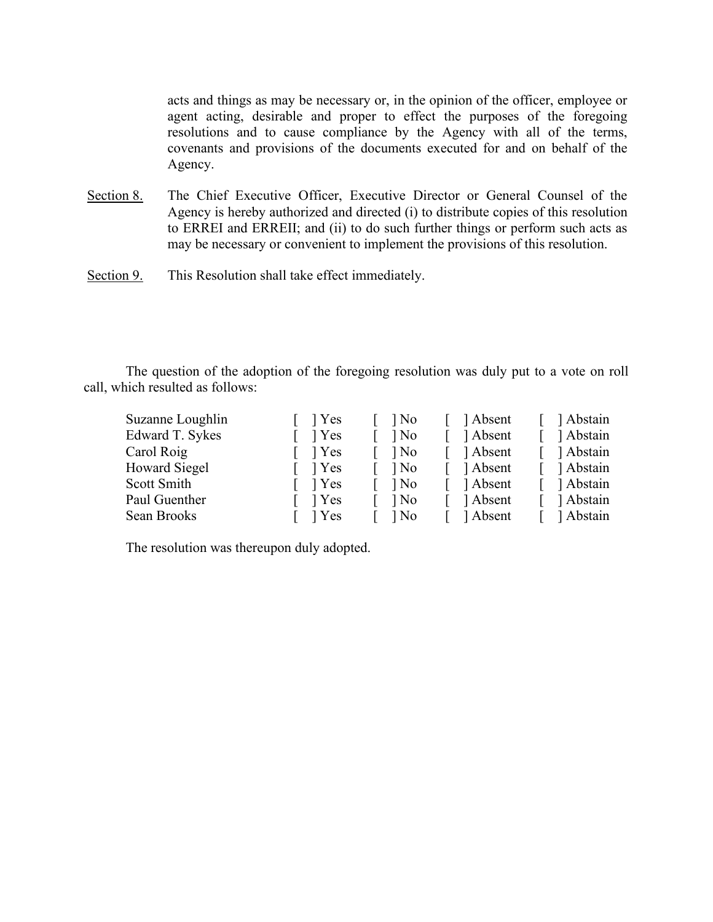acts and things as may be necessary or, in the opinion of the officer, employee or agent acting, desirable and proper to effect the purposes of the foregoing resolutions and to cause compliance by the Agency with all of the terms, covenants and provisions of the documents executed for and on behalf of the Agency.

- Section 8. The Chief Executive Officer, Executive Director or General Counsel of the Agency is hereby authorized and directed (i) to distribute copies of this resolution to ERREI and ERREII; and (ii) to do such further things or perform such acts as may be necessary or convenient to implement the provisions of this resolution.
- Section 9. This Resolution shall take effect immediately.

The question of the adoption of the foregoing resolution was duly put to a vote on roll call, which resulted as follows:

| Suzanne Loughlin     | ] Yes | ] No | ] Absent | Abstain   |
|----------------------|-------|------|----------|-----------|
| Edward T. Sykes      | l Yes | l No | 1 Absent | Abstain   |
| Carol Roig           | l Yes | ] No | Absent   | Abstain   |
| <b>Howard Siegel</b> | 1 Yes | 1 No | 1 Absent | Abstain   |
| Scott Smith          | l Yes | ] No | ] Absent | Abstain   |
| Paul Guenther        | l Yes | ] No | Absent   | Abstain   |
| Sean Brooks          | l Yes | ] No | ] Absent | 1 Abstain |

The resolution was thereupon duly adopted.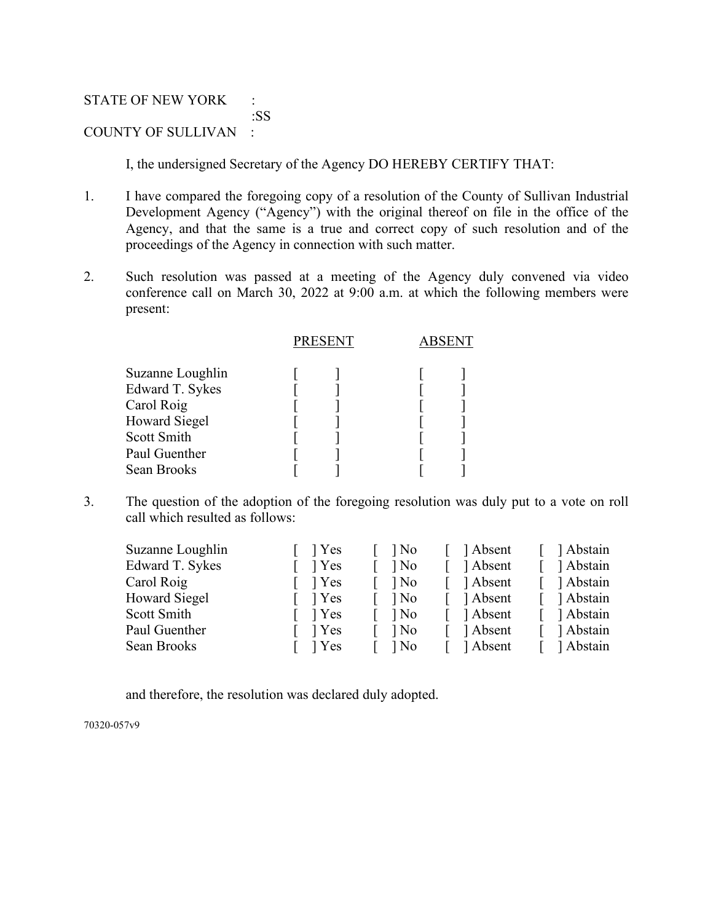## STATE OF NEW YORK : :SS COUNTY OF SULLIVAN :

I, the undersigned Secretary of the Agency DO HEREBY CERTIFY THAT:

- 1. I have compared the foregoing copy of a resolution of the County of Sullivan Industrial Development Agency ("Agency") with the original thereof on file in the office of the Agency, and that the same is a true and correct copy of such resolution and of the proceedings of the Agency in connection with such matter.
- 2. Such resolution was passed at a meeting of the Agency duly convened via video conference call on March 30, 2022 at 9:00 a.m. at which the following members were present:

|                                                                                                           | PRESENT |  |  |
|-----------------------------------------------------------------------------------------------------------|---------|--|--|
| Suzanne Loughlin<br>Edward T. Sykes<br>Carol Roig<br><b>Howard Siegel</b><br>Scott Smith<br>Paul Guenther |         |  |  |
| Sean Brooks                                                                                               |         |  |  |

3. The question of the adoption of the foregoing resolution was duly put to a vote on roll call which resulted as follows:

| Suzanne Loughlin     | 1 Yes | 1 No   | Absent   | Abstain   |
|----------------------|-------|--------|----------|-----------|
| Edward T. Sykes      | 1 Yes | ] No   | 1 Absent | Abstain   |
| Carol Roig           | 1 Yes | $\log$ | 1 Absent | Abstain   |
| <b>Howard Siegel</b> | 1 Yes | $\log$ | 1 Absent | Abstain   |
| Scott Smith          | 1 Yes | $\log$ | Absent   | 1 Abstain |
| Paul Guenther        | 1 Yes | $\log$ | 1 Absent | Abstain   |
| Sean Brooks          | 1 Yes | $1$ No | 1 Absent | Abstain   |
|                      |       |        |          |           |

and therefore, the resolution was declared duly adopted.

70320-057v9